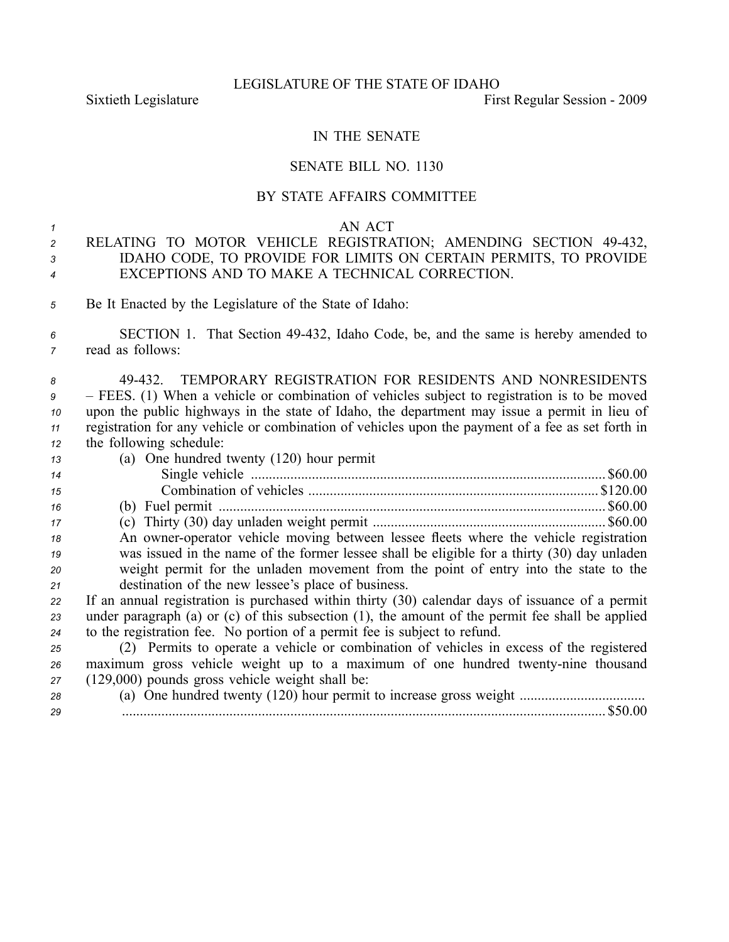Sixtieth Legislature First Regular Session - 2009

## IN THE SENATE

### SENATE BILL NO. 1130

## BY STATE AFFAIRS COMMITTEE

#### *1* AN ACT

# *<sup>2</sup>* RELATING TO MOTOR VEHICLE REGISTRATION; AMENDING SECTION 49432, *<sup>3</sup>* IDAHO CODE, TO PROVIDE FOR LIMITS ON CERTAIN PERMITS, TO PROVIDE *<sup>4</sup>* EXCEPTIONS AND TO MAKE A TECHNICAL CORRECTION.

- *<sup>5</sup>* Be It Enacted by the Legislature of the State of Idaho:
- *<sup>6</sup>* SECTION 1. That Section 49432, Idaho Code, be, and the same is hereby amended to *<sup>7</sup>* read as follows:
- *8* 49432. TEMPORARY REGISTRATION FOR RESIDENTS AND NONRESIDENTS *<sup>9</sup>* – FEES. (1) When <sup>a</sup> vehicle or combination of vehicles subject to registration is to be moved *<sup>10</sup>* upon the public highways in the state of Idaho, the department may issue <sup>a</sup> permit in lieu of *<sup>11</sup>* registration for any vehicle or combination of vehicles upon the paymen<sup>t</sup> of <sup>a</sup> fee as set forth in *<sup>12</sup>* the following schedule:

| 13 | (a) One hundred twenty $(120)$ hour permit                                                            |
|----|-------------------------------------------------------------------------------------------------------|
| 14 | \$60.00                                                                                               |
| 15 | \$120.00                                                                                              |
| 16 | $.$ \$60.00                                                                                           |
| 17 |                                                                                                       |
| 18 | An owner-operator vehicle moving between lessee fleets where the vehicle registration                 |
| 19 | was issued in the name of the former lessee shall be eligible for a thirty (30) day unladen           |
| 20 | weight permit for the unladen movement from the point of entry into the state to the                  |
| 21 | destination of the new lessee's place of business.                                                    |
| 22 | If an annual registration is purchased within thirty (30) calendar days of issuance of a permit       |
| 23 | under paragraph (a) or $(c)$ of this subsection $(1)$ , the amount of the permit fee shall be applied |
| 24 | to the registration fee. No portion of a permit fee is subject to refund.                             |
| 25 | (2) Permits to operate a vehicle or combination of vehicles in excess of the registered               |
| 26 | maximum gross vehicle weight up to a maximum of one hundred twenty-nine thousand                      |
| 27 | $(129,000)$ pounds gross vehicle weight shall be:                                                     |
| 28 |                                                                                                       |
| 29 | $.$ \$50.00                                                                                           |